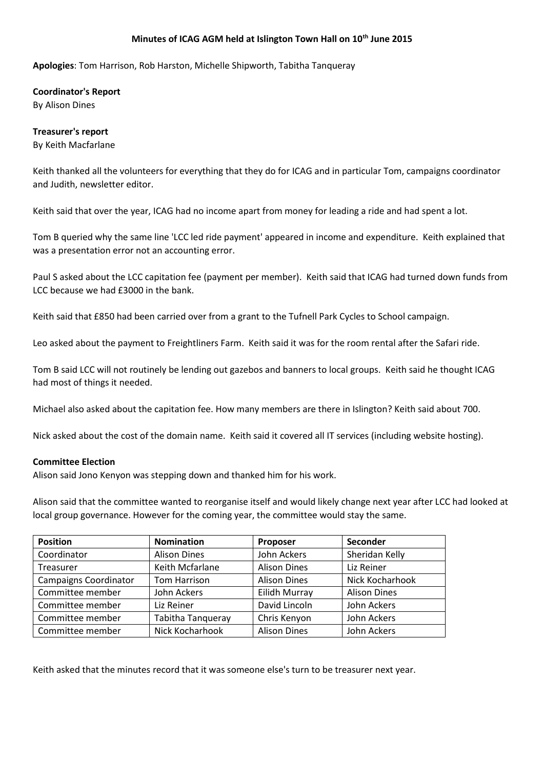#### **Minutes of ICAG AGM held at Islington Town Hall on 10th June 2015**

**Apologies**: Tom Harrison, Rob Harston, Michelle Shipworth, Tabitha Tanqueray

**Coordinator's Report** By Alison Dines

# **Treasurer's report**

By Keith Macfarlane

Keith thanked all the volunteers for everything that they do for ICAG and in particular Tom, campaigns coordinator and Judith, newsletter editor.

Keith said that over the year, ICAG had no income apart from money for leading a ride and had spent a lot.

Tom B queried why the same line 'LCC led ride payment' appeared in income and expenditure. Keith explained that was a presentation error not an accounting error.

Paul S asked about the LCC capitation fee (payment per member). Keith said that ICAG had turned down funds from LCC because we had £3000 in the bank.

Keith said that £850 had been carried over from a grant to the Tufnell Park Cycles to School campaign.

Leo asked about the payment to Freightliners Farm. Keith said it was for the room rental after the Safari ride.

Tom B said LCC will not routinely be lending out gazebos and banners to local groups. Keith said he thought ICAG had most of things it needed.

Michael also asked about the capitation fee. How many members are there in Islington? Keith said about 700.

Nick asked about the cost of the domain name. Keith said it covered all IT services (including website hosting).

#### **Committee Election**

Alison said Jono Kenyon was stepping down and thanked him for his work.

Alison said that the committee wanted to reorganise itself and would likely change next year after LCC had looked at local group governance. However for the coming year, the committee would stay the same.

| <b>Position</b>              | <b>Nomination</b>   | Proposer            | Seconder            |
|------------------------------|---------------------|---------------------|---------------------|
| Coordinator                  | <b>Alison Dines</b> | John Ackers         | Sheridan Kelly      |
| Treasurer                    | Keith Mcfarlane     | <b>Alison Dines</b> | Liz Reiner          |
| <b>Campaigns Coordinator</b> | Tom Harrison        | <b>Alison Dines</b> | Nick Kocharhook     |
| Committee member             | John Ackers         | Eilidh Murray       | <b>Alison Dines</b> |
| Committee member             | Liz Reiner          | David Lincoln       | John Ackers         |
| Committee member             | Tabitha Tanqueray   | Chris Kenyon        | John Ackers         |
| Committee member             | Nick Kocharhook     | <b>Alison Dines</b> | John Ackers         |

Keith asked that the minutes record that it was someone else's turn to be treasurer next year.